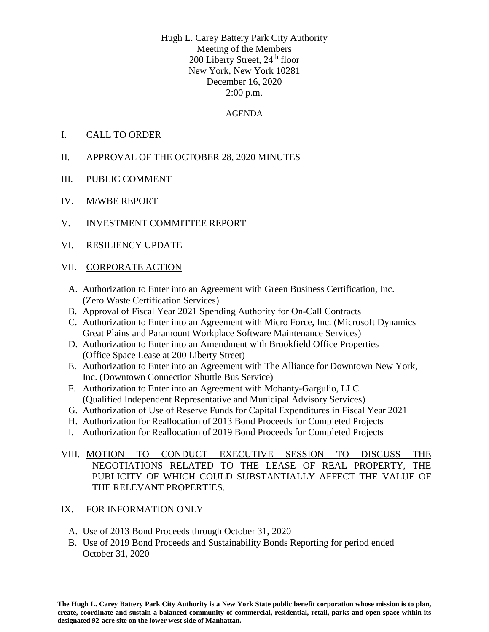Hugh L. Carey Battery Park City Authority Meeting of the Members 200 Liberty Street, 24<sup>th</sup> floor New York, New York 10281 December 16, 2020 2:00 p.m.

#### AGENDA

- I. CALL TO ORDER
- II. APPROVAL OF THE OCTOBER 28, 2020 MINUTES
- III. PUBLIC COMMENT
- IV. M/WBE REPORT
- V. INVESTMENT COMMITTEE REPORT
- VI. RESILIENCY UPDATE

#### VII. CORPORATE ACTION

- A. Authorization to Enter into an Agreement with Green Business Certification, Inc. (Zero Waste Certification Services)
- B. Approval of Fiscal Year 2021 Spending Authority for On-Call Contracts
- C. Authorization to Enter into an Agreement with Micro Force, Inc. (Microsoft Dynamics Great Plains and Paramount Workplace Software Maintenance Services)
- D. Authorization to Enter into an Amendment with Brookfield Office Properties (Office Space Lease at 200 Liberty Street)
- E. Authorization to Enter into an Agreement with The Alliance for Downtown New York, Inc. (Downtown Connection Shuttle Bus Service)
- F. Authorization to Enter into an Agreement with Mohanty-Gargulio, LLC (Qualified Independent Representative and Municipal Advisory Services)
- G. Authorization of Use of Reserve Funds for Capital Expenditures in Fiscal Year 2021
- H. Authorization for Reallocation of 2013 Bond Proceeds for Completed Projects
- I. Authorization for Reallocation of 2019 Bond Proceeds for Completed Projects

### VIII. MOTION TO CONDUCT EXECUTIVE SESSION TO DISCUSS THE NEGOTIATIONS RELATED TO THE LEASE OF REAL PROPERTY, THE PUBLICITY OF WHICH COULD SUBSTANTIALLY AFFECT THE VALUE OF THE RELEVANT PROPERTIES.

### IX. FOR INFORMATION ONLY

- A. Use of 2013 Bond Proceeds through October 31, 2020
- B. Use of 2019 Bond Proceeds and Sustainability Bonds Reporting for period ended October 31, 2020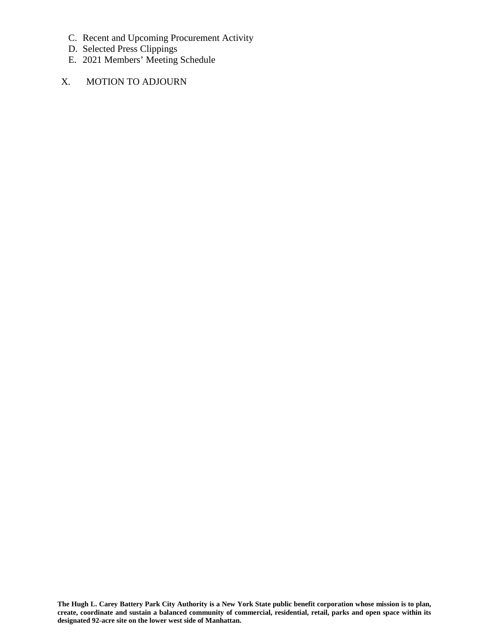- C. Recent and Upcoming Procurement Activity
- D. Selected Press Clippings
- E. 2021 Members' Meeting Schedule
- X. MOTION TO ADJOURN

**The Hugh L. Carey Battery Park City Authority is a New York State public benefit corporation whose mission is to plan, create, coordinate and sustain a balanced community of commercial, residential, retail, parks and open space within its designated 92-acre site on the lower west side of Manhattan.**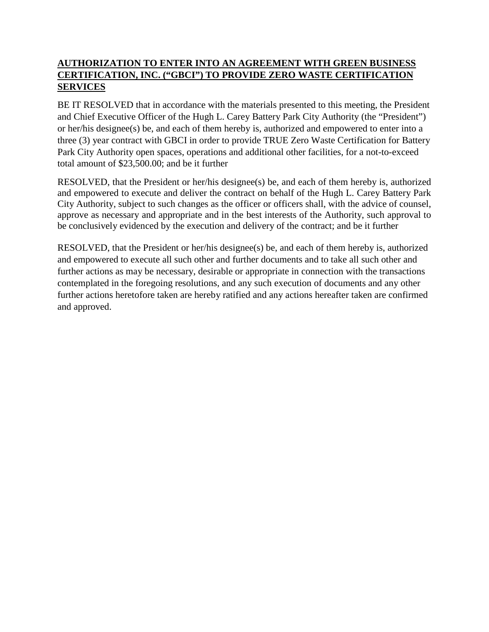## **AUTHORIZATION TO ENTER INTO AN AGREEMENT WITH GREEN BUSINESS CERTIFICATION, INC. ("GBCI") TO PROVIDE ZERO WASTE CERTIFICATION SERVICES**

BE IT RESOLVED that in accordance with the materials presented to this meeting, the President and Chief Executive Officer of the Hugh L. Carey Battery Park City Authority (the "President") or her/his designee(s) be, and each of them hereby is, authorized and empowered to enter into a three (3) year contract with GBCI in order to provide TRUE Zero Waste Certification for Battery Park City Authority open spaces, operations and additional other facilities, for a not-to-exceed total amount of \$23,500.00; and be it further

RESOLVED, that the President or her/his designee(s) be, and each of them hereby is, authorized and empowered to execute and deliver the contract on behalf of the Hugh L. Carey Battery Park City Authority, subject to such changes as the officer or officers shall, with the advice of counsel, approve as necessary and appropriate and in the best interests of the Authority, such approval to be conclusively evidenced by the execution and delivery of the contract; and be it further

RESOLVED, that the President or her/his designee(s) be, and each of them hereby is, authorized and empowered to execute all such other and further documents and to take all such other and further actions as may be necessary, desirable or appropriate in connection with the transactions contemplated in the foregoing resolutions, and any such execution of documents and any other further actions heretofore taken are hereby ratified and any actions hereafter taken are confirmed and approved.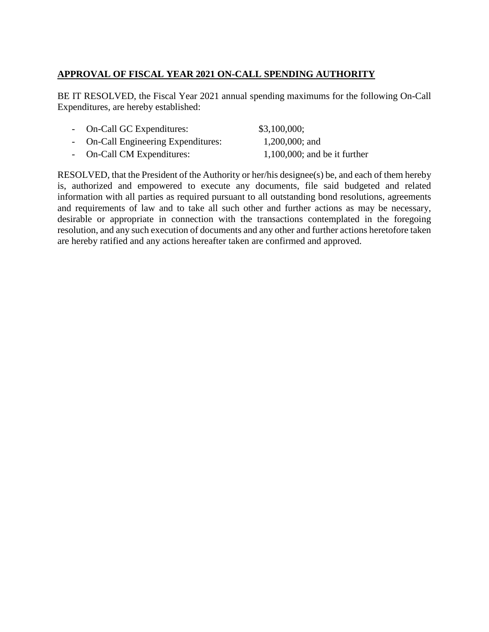# **APPROVAL OF FISCAL YEAR 2021 ON-CALL SPENDING AUTHORITY**

BE IT RESOLVED, the Fiscal Year 2021 annual spending maximums for the following On-Call Expenditures, are hereby established:

| - On-Call GC Expenditures:          | \$3,100,000;                    |
|-------------------------------------|---------------------------------|
| - On-Call Engineering Expenditures: | $1,200,000$ ; and               |
| - On-Call CM Expenditures:          | $1,100,000$ ; and be it further |

RESOLVED, that the President of the Authority or her/his designee(s) be, and each of them hereby is, authorized and empowered to execute any documents, file said budgeted and related information with all parties as required pursuant to all outstanding bond resolutions, agreements and requirements of law and to take all such other and further actions as may be necessary, desirable or appropriate in connection with the transactions contemplated in the foregoing resolution, and any such execution of documents and any other and further actions heretofore taken are hereby ratified and any actions hereafter taken are confirmed and approved.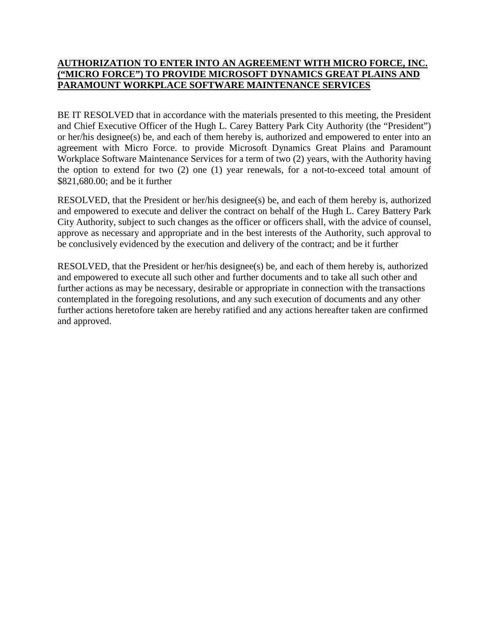### **AUTHORIZATION TO ENTER INTO AN AGREEMENT WITH MICRO FORCE, INC. ("MICRO FORCE") TO PROVIDE MICROSOFT DYNAMICS GREAT PLAINS AND PARAMOUNT WORKPLACE SOFTWARE MAINTENANCE SERVICES**

BE IT RESOLVED that in accordance with the materials presented to this meeting, the President and Chief Executive Officer of the Hugh L. Carey Battery Park City Authority (the "President") or her/his designee(s) be, and each of them hereby is, authorized and empowered to enter into an agreement with Micro Force. to provide Microsoft Dynamics Great Plains and Paramount Workplace Software Maintenance Services for a term of two (2) years, with the Authority having the option to extend for two (2) one (1) year renewals, for a not-to-exceed total amount of \$821,680.00; and be it further

RESOLVED, that the President or her/his designee(s) be, and each of them hereby is, authorized and empowered to execute and deliver the contract on behalf of the Hugh L. Carey Battery Park City Authority, subject to such changes as the officer or officers shall, with the advice of counsel, approve as necessary and appropriate and in the best interests of the Authority, such approval to be conclusively evidenced by the execution and delivery of the contract; and be it further

RESOLVED, that the President or her/his designee(s) be, and each of them hereby is, authorized and empowered to execute all such other and further documents and to take all such other and further actions as may be necessary, desirable or appropriate in connection with the transactions contemplated in the foregoing resolutions, and any such execution of documents and any other further actions heretofore taken are hereby ratified and any actions hereafter taken are confirmed and approved.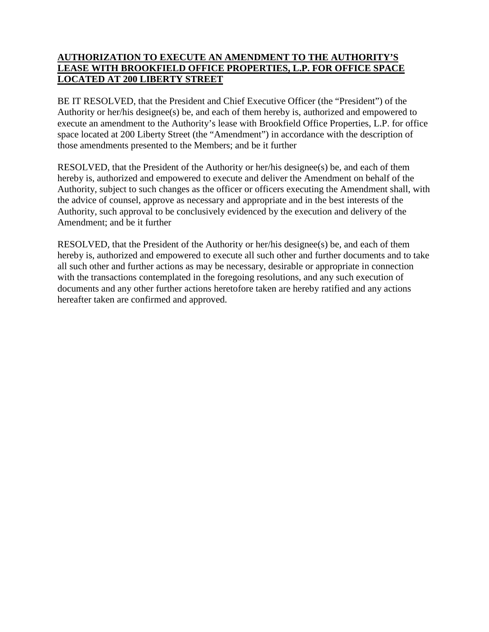### **AUTHORIZATION TO EXECUTE AN AMENDMENT TO THE AUTHORITY'S LEASE WITH BROOKFIELD OFFICE PROPERTIES, L.P. FOR OFFICE SPACE LOCATED AT 200 LIBERTY STREET**

BE IT RESOLVED, that the President and Chief Executive Officer (the "President") of the Authority or her/his designee(s) be, and each of them hereby is, authorized and empowered to execute an amendment to the Authority's lease with Brookfield Office Properties, L.P. for office space located at 200 Liberty Street (the "Amendment") in accordance with the description of those amendments presented to the Members; and be it further

RESOLVED, that the President of the Authority or her/his designee(s) be, and each of them hereby is, authorized and empowered to execute and deliver the Amendment on behalf of the Authority, subject to such changes as the officer or officers executing the Amendment shall, with the advice of counsel, approve as necessary and appropriate and in the best interests of the Authority, such approval to be conclusively evidenced by the execution and delivery of the Amendment; and be it further

RESOLVED, that the President of the Authority or her/his designee(s) be, and each of them hereby is, authorized and empowered to execute all such other and further documents and to take all such other and further actions as may be necessary, desirable or appropriate in connection with the transactions contemplated in the foregoing resolutions, and any such execution of documents and any other further actions heretofore taken are hereby ratified and any actions hereafter taken are confirmed and approved.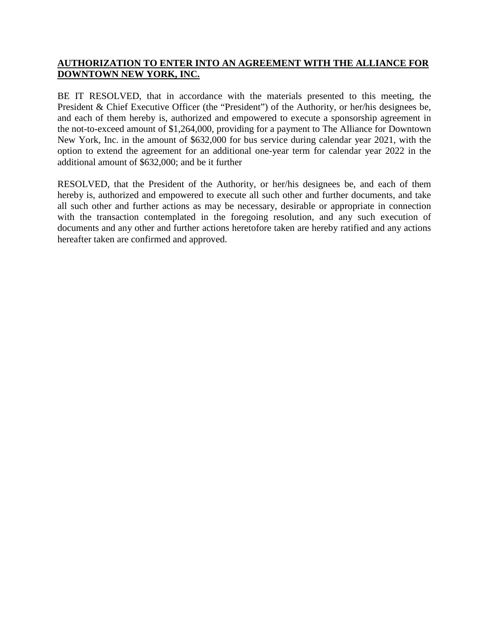### **AUTHORIZATION TO ENTER INTO AN AGREEMENT WITH THE ALLIANCE FOR DOWNTOWN NEW YORK, INC.**

BE IT RESOLVED, that in accordance with the materials presented to this meeting, the President & Chief Executive Officer (the "President") of the Authority, or her/his designees be, and each of them hereby is, authorized and empowered to execute a sponsorship agreement in the not-to-exceed amount of \$1,264,000, providing for a payment to The Alliance for Downtown New York, Inc. in the amount of \$632,000 for bus service during calendar year 2021, with the option to extend the agreement for an additional one-year term for calendar year 2022 in the additional amount of \$632,000; and be it further

RESOLVED, that the President of the Authority, or her/his designees be, and each of them hereby is, authorized and empowered to execute all such other and further documents, and take all such other and further actions as may be necessary, desirable or appropriate in connection with the transaction contemplated in the foregoing resolution, and any such execution of documents and any other and further actions heretofore taken are hereby ratified and any actions hereafter taken are confirmed and approved.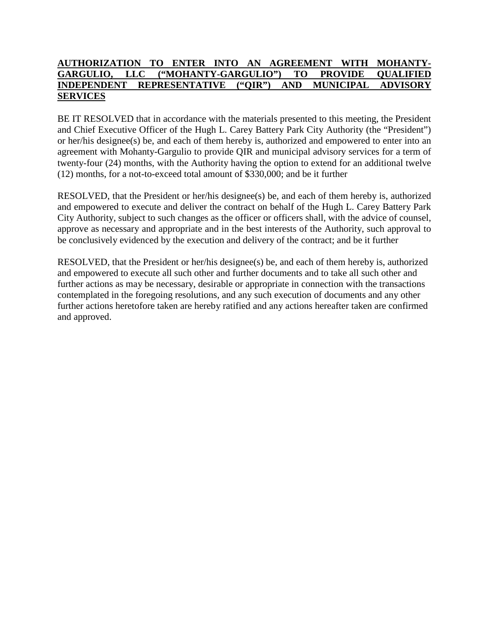#### **AUTHORIZATION TO ENTER INTO AN AGREEMENT WITH MOHANTY-GARGULIO, LLC ("MOHANTY-GARGULIO") TO PROVIDE QUALIFIED INDEPENDENT REPRESENTATIVE ("QIR") AND MUNICIPAL ADVISORY SERVICES**

BE IT RESOLVED that in accordance with the materials presented to this meeting, the President and Chief Executive Officer of the Hugh L. Carey Battery Park City Authority (the "President") or her/his designee(s) be, and each of them hereby is, authorized and empowered to enter into an agreement with Mohanty-Gargulio to provide QIR and municipal advisory services for a term of twenty-four (24) months, with the Authority having the option to extend for an additional twelve (12) months, for a not-to-exceed total amount of \$330,000; and be it further

RESOLVED, that the President or her/his designee(s) be, and each of them hereby is, authorized and empowered to execute and deliver the contract on behalf of the Hugh L. Carey Battery Park City Authority, subject to such changes as the officer or officers shall, with the advice of counsel, approve as necessary and appropriate and in the best interests of the Authority, such approval to be conclusively evidenced by the execution and delivery of the contract; and be it further

RESOLVED, that the President or her/his designee(s) be, and each of them hereby is, authorized and empowered to execute all such other and further documents and to take all such other and further actions as may be necessary, desirable or appropriate in connection with the transactions contemplated in the foregoing resolutions, and any such execution of documents and any other further actions heretofore taken are hereby ratified and any actions hereafter taken are confirmed and approved.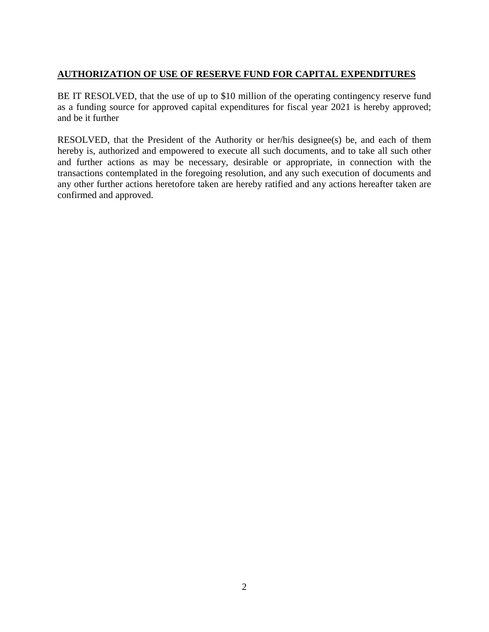# **AUTHORIZATION OF USE OF RESERVE FUND FOR CAPITAL EXPENDITURES**

BE IT RESOLVED, that the use of up to \$10 million of the operating contingency reserve fund as a funding source for approved capital expenditures for fiscal year 2021 is hereby approved; and be it further

RESOLVED, that the President of the Authority or her/his designee(s) be, and each of them hereby is, authorized and empowered to execute all such documents, and to take all such other and further actions as may be necessary, desirable or appropriate, in connection with the transactions contemplated in the foregoing resolution, and any such execution of documents and any other further actions heretofore taken are hereby ratified and any actions hereafter taken are confirmed and approved.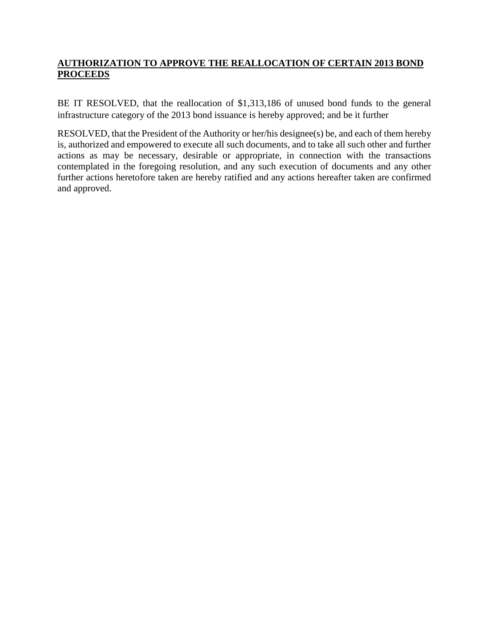# **AUTHORIZATION TO APPROVE THE REALLOCATION OF CERTAIN 2013 BOND PROCEEDS**

BE IT RESOLVED, that the reallocation of \$1,313,186 of unused bond funds to the general infrastructure category of the 2013 bond issuance is hereby approved; and be it further

RESOLVED, that the President of the Authority or her/his designee(s) be, and each of them hereby is, authorized and empowered to execute all such documents, and to take all such other and further actions as may be necessary, desirable or appropriate, in connection with the transactions contemplated in the foregoing resolution, and any such execution of documents and any other further actions heretofore taken are hereby ratified and any actions hereafter taken are confirmed and approved.